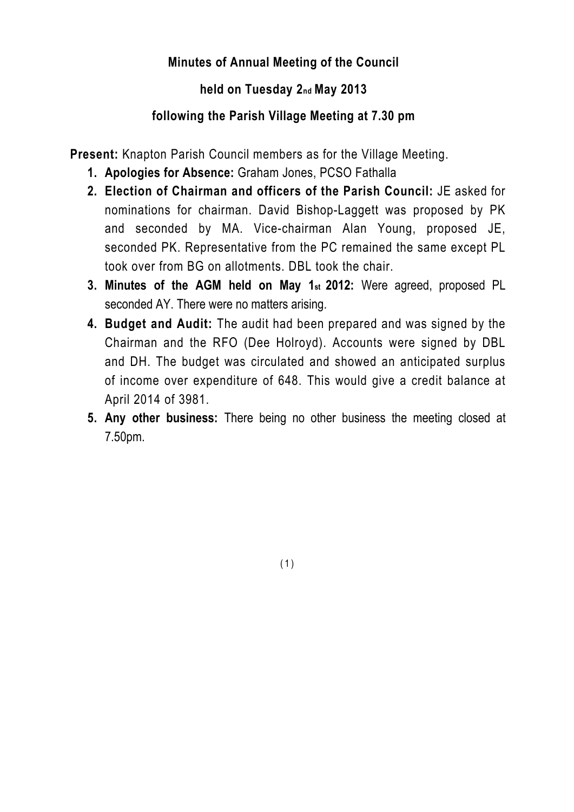## **Minutes of Annual Meeting of the Council**

## **held on Tuesday 2nd May 2013**

## **following the Parish Village Meeting at 7.30 pm**

**Present:** Knapton Parish Council members as for the Village Meeting.

- **1. Apologies for Absence:** Graham Jones, PCSO Fathalla
- **2. Election of Chairman and officers of the Parish Council:** JE asked for nominations for chairman. David Bishop-Laggett was proposed by PK and seconded by MA. Vice-chairman Alan Young, proposed JE, seconded PK. Representative from the PC remained the same except PL took over from BG on allotments. DBL took the chair.
- **3. Minutes of the AGM held on May 1st 2012:** Were agreed, proposed PL seconded AY. There were no matters arising.
- **4. Budget and Audit:** The audit had been prepared and was signed by the Chairman and the RFO (Dee Holroyd). Accounts were signed by DBL and DH. The budget was circulated and showed an anticipated surplus of income over expenditure of 648. This would give a credit balance at April 2014 of 3981.
- **5. Any other business:** There being no other business the meeting closed at 7.50pm.

(1)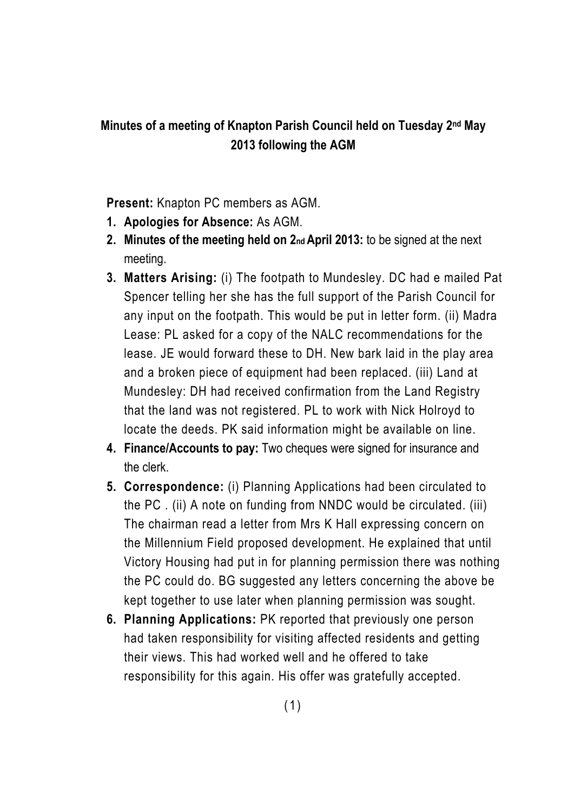## **Minutes of a meeting of Knapton Parish Council held on Tuesday 2nd May 2013 following the AGM**

**Present:** Knapton PC members as AGM.

- **1. Apologies for Absence:** As AGM.
- **2. Minutes of the meeting held on 2nd April 2013:** to be signed at the next meeting.
- **3. Matters Arising:** (i) The footpath to Mundesley. DC had e mailed Pat Spencer telling her she has the full support of the Parish Council for any input on the footpath. This would be put in letter form. (ii) Madra Lease: PL asked for a copy of the NALC recommendations for the lease. JE would forward these to DH. New bark laid in the play area and a broken piece of equipment had been replaced. (iii) Land at Mundesley: DH had received confirmation from the Land Registry that the land was not registered. PL to work with Nick Holroyd to locate the deeds. PK said information might be available on line.
- **4. Finance/Accounts to pay:** Two cheques were signed for insurance and the clerk.
- **5. Correspondence:** (i) Planning Applications had been circulated to the PC . (ii) A note on funding from NNDC would be circulated. (iii) The chairman read a letter from Mrs K Hall expressing concern on the Millennium Field proposed development. He explained that until Victory Housing had put in for planning permission there was nothing the PC could do. BG suggested any letters concerning the above be kept together to use later when planning permission was sought.
- **6. Planning Applications:** PK reported that previously one person had taken responsibility for visiting affected residents and getting their views. This had worked well and he offered to take responsibility for this again. His offer was gratefully accepted.